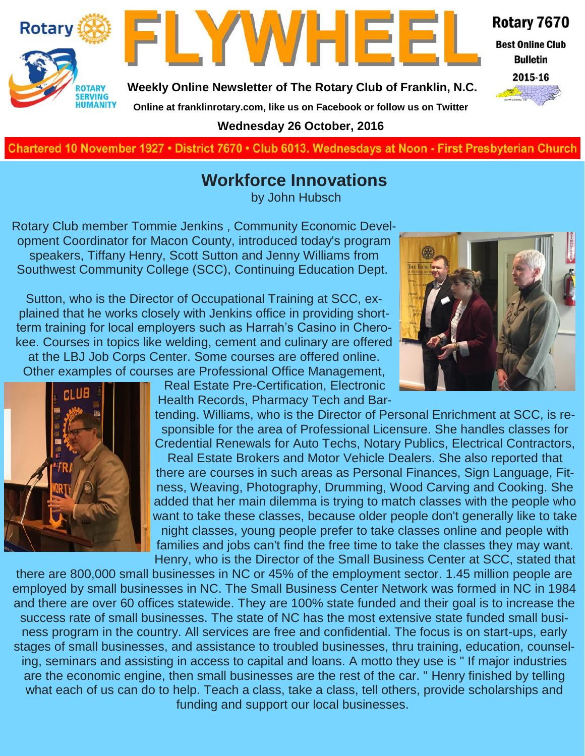



**Weekly Online Newsletter of The Rotary Club of Franklin, N.C.**

#### Rotary 7670

**Best Online Club Bulletin** 



**Online at franklinrotary.com, like us on Facebook or follow us on Twitter Wednesday 26 October, 2016**

**Charted November 29, 1927 • District 7670 • Club 6013 Wednesdays at Noon - First Presbyterian Church**

## **Workforce Innovations**

by John Hubsch

Rotary Club member Tommie Jenkins , Community Economic Development Coordinator for Macon County, introduced today's program speakers, Tiffany Henry, Scott Sutton and Jenny Williams from Southwest Community College (SCC), Continuing Education Dept.

Sutton, who is the Director of Occupational Training at SCC, explained that he works closely with Jenkins office in providing shortterm training for local employers such as Harrah's Casino in Cherokee. Courses in topics like welding, cement and culinary are offered at the LBJ Job Corps Center. Some courses are offered online. Other examples of courses are Professional Office Management,





Real Estate Pre-Certification, Electronic Health Records, Pharmacy Tech and Bar-

tending. Williams, who is the Director of Personal Enrichment at SCC, is responsible for the area of Professional Licensure. She handles classes for Credential Renewals for Auto Techs, Notary Publics, Electrical Contractors,

Real Estate Brokers and Motor Vehicle Dealers. She also reported that there are courses in such areas as Personal Finances, Sign Language, Fitness, Weaving, Photography, Drumming, Wood Carving and Cooking. She added that her main dilemma is trying to match classes with the people who want to take these classes, because older people don't generally like to take night classes, young people prefer to take classes online and people with families and jobs can't find the free time to take the classes they may want. Henry, who is the Director of the Small Business Center at SCC, stated that

there are 800,000 small businesses in NC or 45% of the employment sector. 1.45 million people are employed by small businesses in NC. The Small Business Center Network was formed in NC in 1984 and there are over 60 offices statewide. They are 100% state funded and their goal is to increase the success rate of small businesses. The state of NC has the most extensive state funded small business program in the country. All services are free and confidential. The focus is on start-ups, early stages of small businesses, and assistance to troubled businesses, thru training, education, counseling, seminars and assisting in access to capital and loans. A motto they use is " If major industries are the economic engine, then small businesses are the rest of the car. " Henry finished by telling what each of us can do to help. Teach a class, take a class, tell others, provide scholarships and funding and support our local businesses.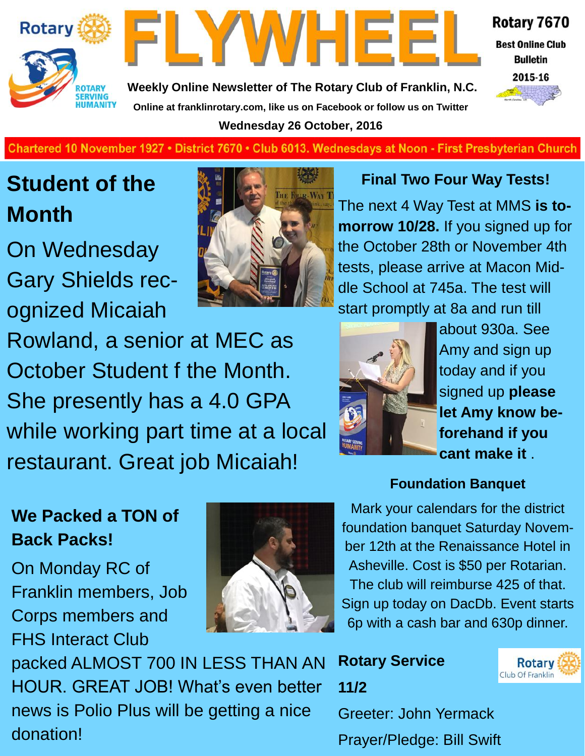



Rotary 7670

**Best Online Club Bulletin** 

2015-16

**Weekly Online Newsletter of The Rotary Club of Franklin, N.C. Online at franklinrotary.com, like us on Facebook or follow us on Twitter Wednesday 26 October, 2016**

#### **Charted November 29, 1927 • District 7670 • Club 6013 Wednesdays at Noon - First Presbyterian Church**

## **Student of the Month**

On Wednesday Gary Shields recognized Micaiah



#### **Final Two Four Way Tests!**

The next 4 Way Test at MMS **is tomorrow 10/28.** If you signed up for the October 28th or November 4th tests, please arrive at Macon Middle School at 745a. The test will start promptly at 8a and run till

Rowland, a senior at MEC as October Student f the Month. She presently has a 4.0 GPA while working part time at a local restaurant. Great job Micaiah!



about 930a. See Amy and sign up today and if you signed up **please let Amy know beforehand if you cant make it** .

#### **Foundation Banquet**

## **We Packed a TON of Back Packs!**

On Monday RC of Franklin members, Job Corps members and FHS Interact Club



Mark your calendars for the district foundation banquet Saturday November 12th at the Renaissance Hotel in Asheville. Cost is \$50 per Rotarian. The club will reimburse 425 of that. Sign up today on DacDb. Event starts 6p with a cash bar and 630p dinner.

Prayer/Pledge: Bill Swift packed ALMOST 700 IN LESS THAN AN HOUR. GREAT JOB! What's even better news is Polio Plus will be getting a nice donation!

**Rotary Service 11/2** Greeter: John Yermack

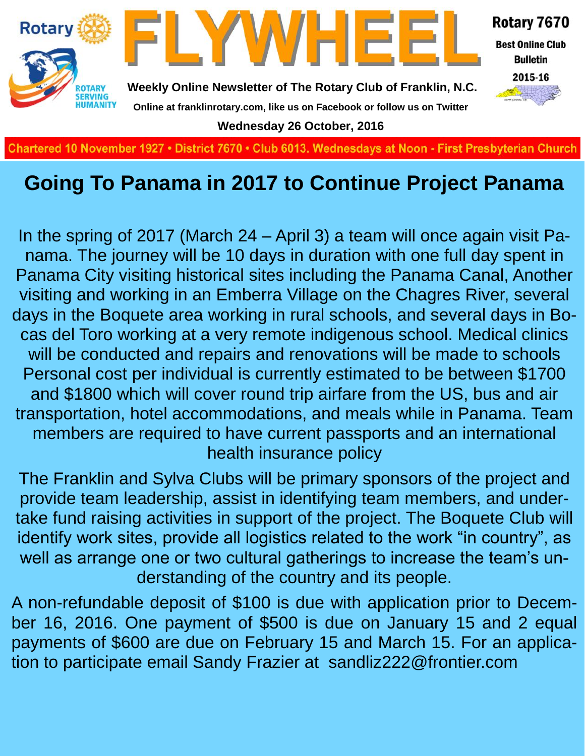

## **Going To Panama in 2017 to Continue Project Panama**

In the spring of 2017 (March 24 – April 3) a team will once again visit Panama. The journey will be 10 days in duration with one full day spent in Panama City visiting historical sites including the Panama Canal, Another visiting and working in an Emberra Village on the Chagres River, several days in the Boquete area working in rural schools, and several days in Bocas del Toro working at a very remote indigenous school. Medical clinics will be conducted and repairs and renovations will be made to schools Personal cost per individual is currently estimated to be between \$1700 and \$1800 which will cover round trip airfare from the US, bus and air transportation, hotel accommodations, and meals while in Panama. Team members are required to have current passports and an international health insurance policy

The Franklin and Sylva Clubs will be primary sponsors of the project and provide team leadership, assist in identifying team members, and undertake fund raising activities in support of the project. The Boquete Club will identify work sites, provide all logistics related to the work "in country", as well as arrange one or two cultural gatherings to increase the team's understanding of the country and its people.

A non-refundable deposit of \$100 is due with application prior to December 16, 2016. One payment of \$500 is due on January 15 and 2 equal payments of \$600 are due on February 15 and March 15. For an application to participate email Sandy Frazier at sandliz222@frontier.com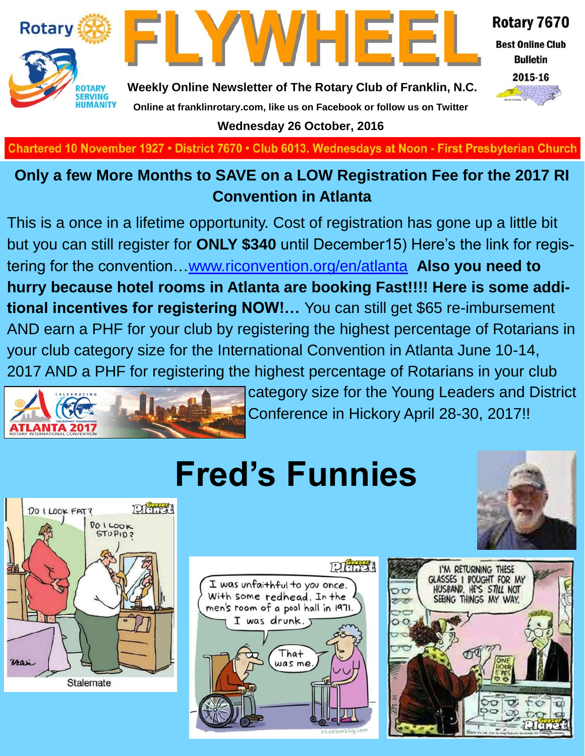



Rotary 7670

**Best Online Club Bulletin** 



**Weekly Online Newsletter of The Rotary Club of Franklin, N.C. Online at franklinrotary.com, like us on Facebook or follow us on Twitter Wednesday 26 October, 2016**

Chartered 10 November 1927 • District 7670 • Club 6013. Wednesdays at Noon - First Presbyterian Church

## **Only a few More Months to SAVE on a LOW Registration Fee for the 2017 RI Convention in Atlanta**

This is a once in a lifetime opportunity. Cost of registration has gone up a little bit but you can still register for **ONLY \$340** until December15) Here's the link for registering for the convention…[www.riconvention.org/en/atlanta](http://www.riconvention.org/en/atlanta) **Also you need to hurry because hotel rooms in Atlanta are booking Fast!!!! Here is some additional incentives for registering NOW!…** You can still get \$65 re-imbursement AND earn a PHF for your club by registering the highest percentage of Rotarians in your club category size for the International Convention in Atlanta June 10-14, 2017 AND a PHF for registering the highest percentage of Rotarians in your club



category size for the Young Leaders and District Conference in Hickory April 28-30, 2017!!

# **Fred's Funnies**







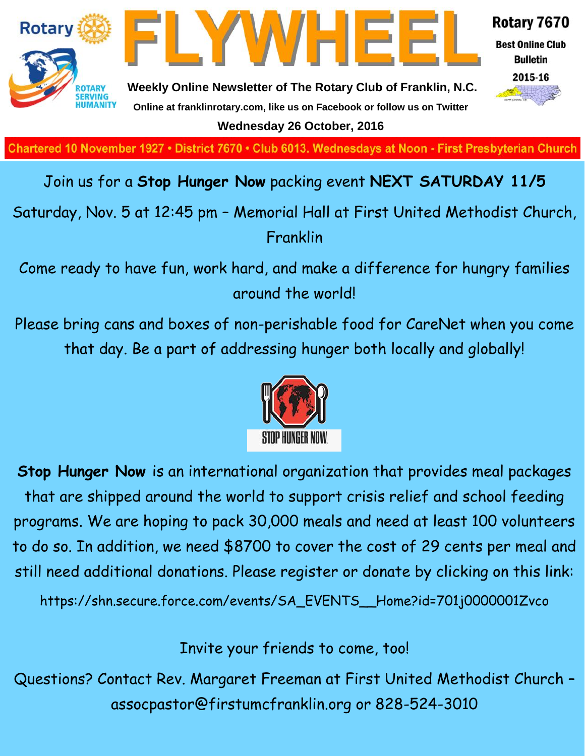

**Charted November 29, 1927 • District 7670 • Club 6013 Wednesdays at Noon - First Presbyterian Church**

## Join us for a **Stop Hunger Now** packing event **NEXT SATURDAY 11/5**

Saturday, Nov. 5 at 12:45 pm – Memorial Hall at First United Methodist Church, Franklin

Come ready to have fun, work hard, and make a difference for hungry families around the world!

Please bring cans and boxes of non-perishable food for CareNet when you come that day. Be a part of addressing hunger both locally and globally!



**Stop Hunger Now** is an international organization that provides meal packages that are shipped around the world to support crisis relief and school feeding programs. We are hoping to pack 30,000 meals and need at least 100 volunteers to do so. In addition, we need \$8700 to cover the cost of 29 cents per meal and still need additional donations. Please register or donate by clicking on this link:

https://shn.secure.force.com/events/SA\_EVENTS\_\_Home?id=701j0000001Zvco

Invite your friends to come, too!

Questions? Contact Rev. Margaret Freeman at First United Methodist Church – assocpastor@firstumcfranklin.org or 828-524-3010